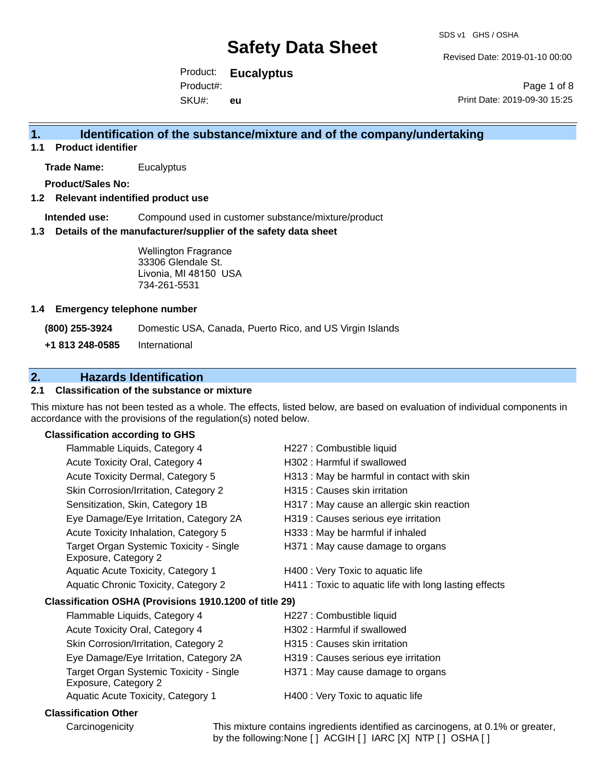Revised Date: 2019-01-10 00:00

Product: **Eucalyptus**  Product#:

SKU#: **eu**

Page 1 of 8 Print Date: 2019-09-30 15:25

#### **1. Identification of the substance/mixture and of the company/undertaking**

**1.1 Product identifier**

**Trade Name:** Eucalyptus

**Product/Sales No:**

#### **1.2 Relevant indentified product use**

**Intended use:** Compound used in customer substance/mixture/product

#### **1.3 Details of the manufacturer/supplier of the safety data sheet**

Wellington Fragrance 33306 Glendale St. Livonia, MI 48150 USA 734-261-5531

#### **1.4 Emergency telephone number**

**(800) 255-3924** Domestic USA, Canada, Puerto Rico, and US Virgin Islands

**+1 813 248-0585** International

#### **2. Hazards Identification**

#### **2.1 Classification of the substance or mixture**

This mixture has not been tested as a whole. The effects, listed below, are based on evaluation of individual components in accordance with the provisions of the regulation(s) noted below.

#### **Classification according to GHS**

| Flammable Liquids, Category 4                                   | H227 : Combustible liquid                              |
|-----------------------------------------------------------------|--------------------------------------------------------|
| Acute Toxicity Oral, Category 4                                 | H302: Harmful if swallowed                             |
| Acute Toxicity Dermal, Category 5                               | H313: May be harmful in contact with skin              |
| Skin Corrosion/Irritation, Category 2                           | H315 : Causes skin irritation                          |
| Sensitization, Skin, Category 1B                                | H317 : May cause an allergic skin reaction             |
| Eye Damage/Eye Irritation, Category 2A                          | H319 : Causes serious eye irritation                   |
| Acute Toxicity Inhalation, Category 5                           | H333: May be harmful if inhaled                        |
| Target Organ Systemic Toxicity - Single<br>Exposure, Category 2 | H371 : May cause damage to organs                      |
| Aquatic Acute Toxicity, Category 1                              | H400 : Very Toxic to aquatic life                      |
| Aquatic Chronic Toxicity, Category 2                            | H411 : Toxic to aquatic life with long lasting effects |
| Classification OSHA (Provisions 1910.1200 of title 29)          |                                                        |
| Flammable Liquids, Category 4                                   | H227 : Combustible liquid                              |
| Acute Toxicity Oral, Category 4                                 | H302: Harmful if swallowed                             |
| Skin Corrosion/Irritation, Category 2                           | H315 : Causes skin irritation                          |
| Eye Damage/Eye Irritation, Category 2A                          | H319 : Causes serious eye irritation                   |
| Target Organ Systemic Toxicity - Single<br>Exposure, Category 2 | H371 : May cause damage to organs                      |
| Aquatic Acute Toxicity, Category 1                              | H400 : Very Toxic to aquatic life                      |
| <b>Classification Other</b>                                     |                                                        |

Carcinogenicity This mixture contains ingredients identified as carcinogens, at 0.1% or greater, by the following:None [ ] ACGIH [ ] IARC [X] NTP [ ] OSHA [ ]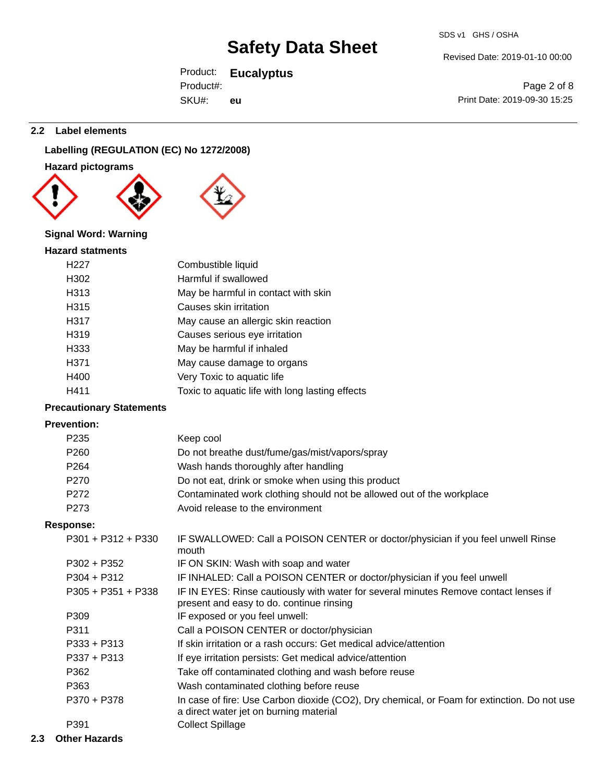#### Revised Date: 2019-01-10 00:00

Product: **Eucalyptus**  SKU#: Product#: **eu**

Page 2 of 8 Print Date: 2019-09-30 15:25

#### **2.2 Label elements**

### **Labelling (REGULATION (EC) No 1272/2008)**

**Hazard pictograms**



#### **Signal Word: Warning**

#### **Hazard statments**

| H <sub>22</sub> 7 | Combustible liquid                              |
|-------------------|-------------------------------------------------|
| H302              | Harmful if swallowed                            |
| H313              | May be harmful in contact with skin             |
| H315              | Causes skin irritation                          |
| H317              | May cause an allergic skin reaction             |
| H319              | Causes serious eye irritation                   |
| H333              | May be harmful if inhaled                       |
| H371              | May cause damage to organs                      |
| H400              | Very Toxic to aquatic life                      |
| H411              | Toxic to aquatic life with long lasting effects |
|                   |                                                 |

#### **Precautionary Statements**

#### **Prevention:**

| Keep cool                                                                                                                             |
|---------------------------------------------------------------------------------------------------------------------------------------|
| Do not breathe dust/fume/gas/mist/vapors/spray                                                                                        |
| Wash hands thoroughly after handling                                                                                                  |
| Do not eat, drink or smoke when using this product                                                                                    |
| Contaminated work clothing should not be allowed out of the workplace                                                                 |
| Avoid release to the environment                                                                                                      |
|                                                                                                                                       |
| IF SWALLOWED: Call a POISON CENTER or doctor/physician if you feel unwell Rinse<br>mouth                                              |
| IF ON SKIN: Wash with soap and water                                                                                                  |
| IF INHALED: Call a POISON CENTER or doctor/physician if you feel unwell                                                               |
| IF IN EYES: Rinse cautiously with water for several minutes Remove contact lenses if<br>present and easy to do. continue rinsing      |
| IF exposed or you feel unwell:                                                                                                        |
| Call a POISON CENTER or doctor/physician                                                                                              |
| If skin irritation or a rash occurs: Get medical advice/attention                                                                     |
| If eye irritation persists: Get medical advice/attention                                                                              |
| Take off contaminated clothing and wash before reuse                                                                                  |
| Wash contaminated clothing before reuse                                                                                               |
| In case of fire: Use Carbon dioxide (CO2), Dry chemical, or Foam for extinction. Do not use<br>a direct water jet on burning material |
| <b>Collect Spillage</b>                                                                                                               |
|                                                                                                                                       |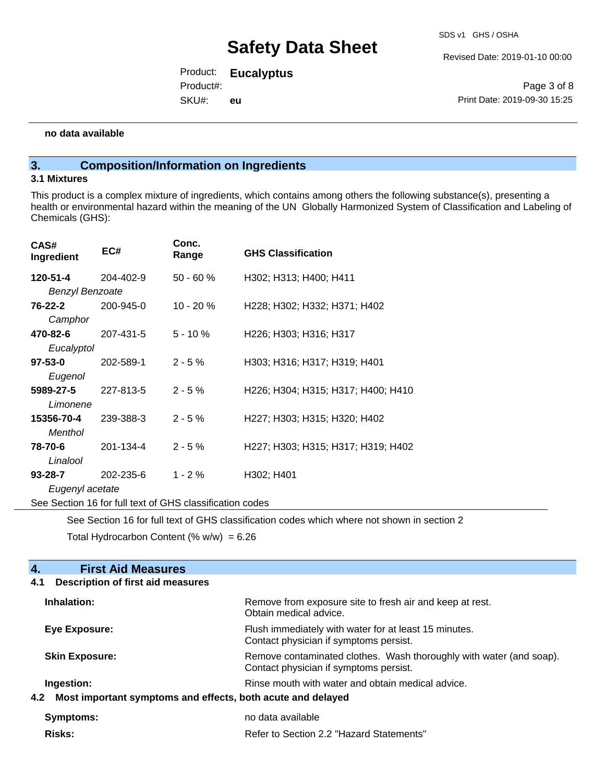Revised Date: 2019-01-10 00:00

Product: **Eucalyptus**  SKU#: Product#: **eu**

Page 3 of 8 Print Date: 2019-09-30 15:25

#### **no data available**

#### **3. Composition/Information on Ingredients**

#### **3.1 Mixtures**

This product is a complex mixture of ingredients, which contains among others the following substance(s), presenting a health or environmental hazard within the meaning of the UN Globally Harmonized System of Classification and Labeling of Chemicals (GHS):

| CAS#<br>Ingredient     | EC#                                                      | Conc.<br>Range | <b>GHS Classification</b>                                                 |
|------------------------|----------------------------------------------------------|----------------|---------------------------------------------------------------------------|
| 120-51-4               | 204-402-9                                                | $50 - 60 %$    | H302; H313; H400; H411                                                    |
| <b>Benzyl Benzoate</b> |                                                          |                |                                                                           |
| 76-22-2                | 200-945-0                                                | $10 - 20%$     | H228; H302; H332; H371; H402                                              |
| Camphor                |                                                          |                |                                                                           |
| 470-82-6               | 207-431-5                                                | $5 - 10 \%$    | H <sub>226</sub> ; H <sub>303</sub> ; H <sub>316</sub> ; H <sub>317</sub> |
| Eucalyptol             |                                                          |                |                                                                           |
| $97 - 53 - 0$          | 202-589-1                                                | $2 - 5%$       | H303; H316; H317; H319; H401                                              |
| Eugenol                |                                                          |                |                                                                           |
| 5989-27-5              | 227-813-5                                                | $2 - 5%$       | H226; H304; H315; H317; H400; H410                                        |
| Limonene               |                                                          |                |                                                                           |
| 15356-70-4             | 239-388-3                                                | $2 - 5%$       | H227; H303; H315; H320; H402                                              |
| Menthol                |                                                          |                |                                                                           |
| 78-70-6                | 201-134-4                                                | $2 - 5%$       | H227; H303; H315; H317; H319; H402                                        |
| Linalool               |                                                          |                |                                                                           |
| $93 - 28 - 7$          | 202-235-6                                                | $1 - 2%$       | H302; H401                                                                |
| Eugenyl acetate        |                                                          |                |                                                                           |
|                        | See Section 16 for full text of GHS classification codes |                |                                                                           |

See Section 16 for full text of GHS classification codes which where not shown in section 2

Total Hydrocarbon Content  $(% \mathcal{O}_{N})$  = 6.26

### **4. First Aid Measures**

#### **4.1 Description of first aid measures**

| Inhalation:           | Remove from exposure site to fresh air and keep at rest.<br>Obtain medical advice.                            |
|-----------------------|---------------------------------------------------------------------------------------------------------------|
| Eye Exposure:         | Flush immediately with water for at least 15 minutes.<br>Contact physician if symptoms persist.               |
| <b>Skin Exposure:</b> | Remove contaminated clothes. Wash thoroughly with water (and soap).<br>Contact physician if symptoms persist. |
| Ingestion:            | Rinse mouth with water and obtain medical advice.                                                             |
|                       | 4.2 Most important symptoms and effects, both acute and delayed                                               |
| Symptoms:             | no data available                                                                                             |
| <b>Risks:</b>         | Refer to Section 2.2 "Hazard Statements"                                                                      |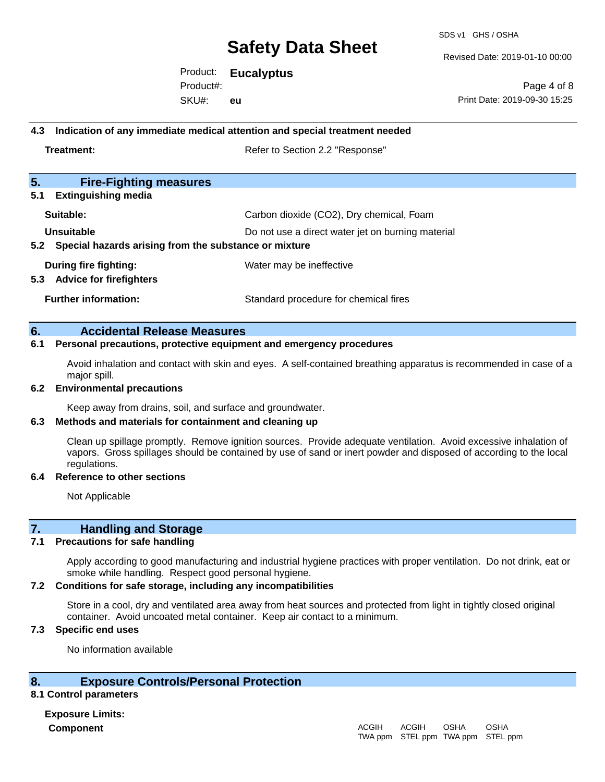SDS v1 GHS / OSHA

Revised Date: 2019-01-10 00:00

Product: **Eucalyptus**  SKU#: Product#: **eu**

Page 4 of 8 Print Date: 2019-09-30 15:25

#### **4.3 Indication of any immediate medical attention and special treatment needed**

**Treatment:** Treatment: Treatment: Refer to Section 2.2 "Response"

| 5.<br><b>Fire-Fighting measures</b>                            |                                                   |
|----------------------------------------------------------------|---------------------------------------------------|
| <b>Extinguishing media</b><br>5.1                              |                                                   |
| Suitable:                                                      | Carbon dioxide (CO2), Dry chemical, Foam          |
| Unsuitable                                                     | Do not use a direct water jet on burning material |
| 5.2 Special hazards arising from the substance or mixture      |                                                   |
| During fire fighting:<br><b>Advice for firefighters</b><br>5.3 | Water may be ineffective                          |
| <b>Further information:</b>                                    | Standard procedure for chemical fires             |

#### **6. Accidental Release Measures**

#### **6.1 Personal precautions, protective equipment and emergency procedures**

Avoid inhalation and contact with skin and eyes. A self-contained breathing apparatus is recommended in case of a major spill.

#### **6.2 Environmental precautions**

Keep away from drains, soil, and surface and groundwater.

#### **6.3 Methods and materials for containment and cleaning up**

Clean up spillage promptly. Remove ignition sources. Provide adequate ventilation. Avoid excessive inhalation of vapors. Gross spillages should be contained by use of sand or inert powder and disposed of according to the local regulations.

#### **6.4 Reference to other sections**

Not Applicable

#### **7. Handling and Storage**

#### **7.1 Precautions for safe handling**

Apply according to good manufacturing and industrial hygiene practices with proper ventilation. Do not drink, eat or smoke while handling. Respect good personal hygiene.

#### **7.2 Conditions for safe storage, including any incompatibilities**

Store in a cool, dry and ventilated area away from heat sources and protected from light in tightly closed original container. Avoid uncoated metal container. Keep air contact to a minimum.

#### **7.3 Specific end uses**

No information available

#### **8. Exposure Controls/Personal Protection**

#### **8.1 Control parameters**

**Exposure Limits: Component** ACGIH

#### TWA ppm STEL ppm TWA ppm STEL ppmACGIH OSHA OSHA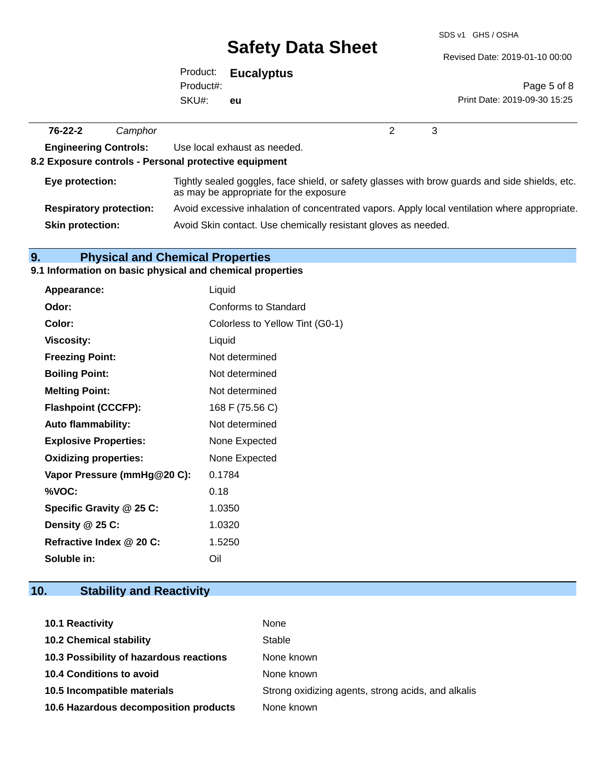SDS v1 GHS / OSHA

Revised Date: 2019-01-10 00:00

| Product:  | <b>Eucalyptus</b> |
|-----------|-------------------|
| Product#: |                   |
| SKU#:     | eu                |

Page 5 of 8 Print Date: 2019-09-30 15:25

| $76 - 22 - 2$                  | Camphor |                                                                                                                                          |
|--------------------------------|---------|------------------------------------------------------------------------------------------------------------------------------------------|
| <b>Engineering Controls:</b>   |         | Use local exhaust as needed.<br>8.2 Exposure controls - Personal protective equipment                                                    |
| Eye protection:                |         | Tightly sealed goggles, face shield, or safety glasses with brow guards and side shields, etc.<br>as may be appropriate for the exposure |
| <b>Respiratory protection:</b> |         | Avoid excessive inhalation of concentrated vapors. Apply local ventilation where appropriate.                                            |
| <b>Skin protection:</b>        |         | Avoid Skin contact. Use chemically resistant gloves as needed.                                                                           |

### **9. Physical and Chemical Properties**

### **9.1 Information on basic physical and chemical properties**

| Appearance:                  | Liquid                          |
|------------------------------|---------------------------------|
| Odor:                        | Conforms to Standard            |
| Color:                       | Colorless to Yellow Tint (G0-1) |
| <b>Viscosity:</b>            | Liquid                          |
| <b>Freezing Point:</b>       | Not determined                  |
| <b>Boiling Point:</b>        | Not determined                  |
| <b>Melting Point:</b>        | Not determined                  |
| <b>Flashpoint (CCCFP):</b>   | 168 F (75.56 C)                 |
| <b>Auto flammability:</b>    | Not determined                  |
| <b>Explosive Properties:</b> | None Expected                   |
| <b>Oxidizing properties:</b> | None Expected                   |
| Vapor Pressure (mmHg@20 C):  | 0.1784                          |
| %VOC:                        | 0.18                            |
| Specific Gravity @ 25 C:     | 1.0350                          |
| Density @ 25 C:              | 1.0320                          |
| Refractive Index @ 20 C:     | 1.5250                          |
| Soluble in:                  | Oil                             |

### **10. Stability and Reactivity**

| <b>10.1 Reactivity</b>                  | None                                               |
|-----------------------------------------|----------------------------------------------------|
| <b>10.2 Chemical stability</b>          | Stable                                             |
| 10.3 Possibility of hazardous reactions | None known                                         |
| <b>10.4 Conditions to avoid</b>         | None known                                         |
| 10.5 Incompatible materials             | Strong oxidizing agents, strong acids, and alkalis |
| 10.6 Hazardous decomposition products   | None known                                         |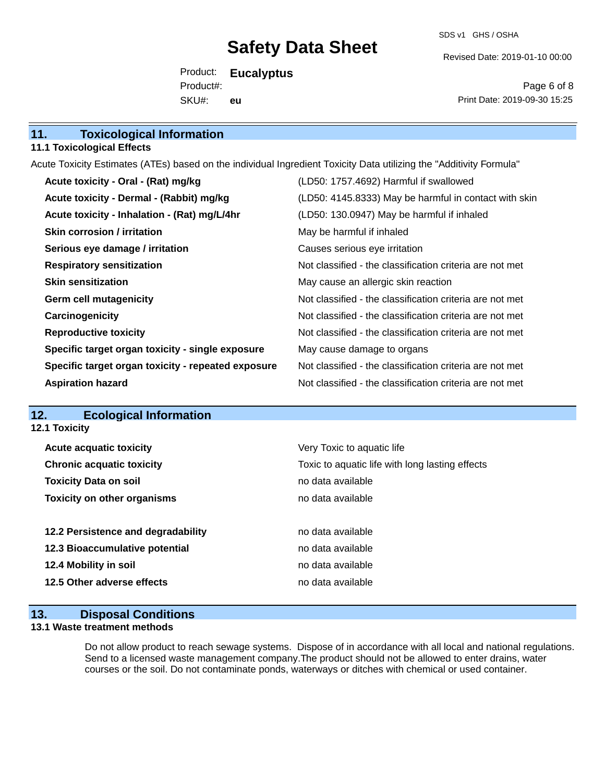SDS v1 GHS / OSHA

Revised Date: 2019-01-10 00:00

Product: **Eucalyptus**  SKU#: Product#: **eu**

Page 6 of 8 Print Date: 2019-09-30 15:25

| 11.<br><b>Toxicological Information</b> |  |
|-----------------------------------------|--|
|-----------------------------------------|--|

#### **11.1 Toxicological Effects**

Acute Toxicity Estimates (ATEs) based on the individual Ingredient Toxicity Data utilizing the "Additivity Formula"

| Acute toxicity - Oral - (Rat) mg/kg                | (LD50: 1757.4692) Harmful if swallowed                   |
|----------------------------------------------------|----------------------------------------------------------|
| Acute toxicity - Dermal - (Rabbit) mg/kg           | (LD50: 4145.8333) May be harmful in contact with skin    |
| Acute toxicity - Inhalation - (Rat) mg/L/4hr       | (LD50: 130.0947) May be harmful if inhaled               |
| <b>Skin corrosion / irritation</b>                 | May be harmful if inhaled                                |
| Serious eye damage / irritation                    | Causes serious eye irritation                            |
| <b>Respiratory sensitization</b>                   | Not classified - the classification criteria are not met |
| <b>Skin sensitization</b>                          | May cause an allergic skin reaction                      |
| <b>Germ cell mutagenicity</b>                      | Not classified - the classification criteria are not met |
| Carcinogenicity                                    | Not classified - the classification criteria are not met |
| <b>Reproductive toxicity</b>                       | Not classified - the classification criteria are not met |
| Specific target organ toxicity - single exposure   | May cause damage to organs                               |
| Specific target organ toxicity - repeated exposure | Not classified - the classification criteria are not met |
| <b>Aspiration hazard</b>                           | Not classified - the classification criteria are not met |

### **12. Ecological Information**

**12.1 Toxicity**

| <b>Acute acquatic toxicity</b>     | Very Toxic to aquatic life                      |
|------------------------------------|-------------------------------------------------|
| <b>Chronic acquatic toxicity</b>   | Toxic to aquatic life with long lasting effects |
| <b>Toxicity Data on soil</b>       | no data available                               |
| <b>Toxicity on other organisms</b> | no data available                               |
|                                    |                                                 |
| 12.2 Persistence and degradability | no data available                               |
| 12.3 Bioaccumulative potential     | no data available                               |
| 12.4 Mobility in soil              | no data available                               |
| 12.5 Other adverse effects         | no data available                               |
|                                    |                                                 |

#### **13. Disposal Conditions**

#### **13.1 Waste treatment methods**

Do not allow product to reach sewage systems. Dispose of in accordance with all local and national regulations. Send to a licensed waste management company.The product should not be allowed to enter drains, water courses or the soil. Do not contaminate ponds, waterways or ditches with chemical or used container.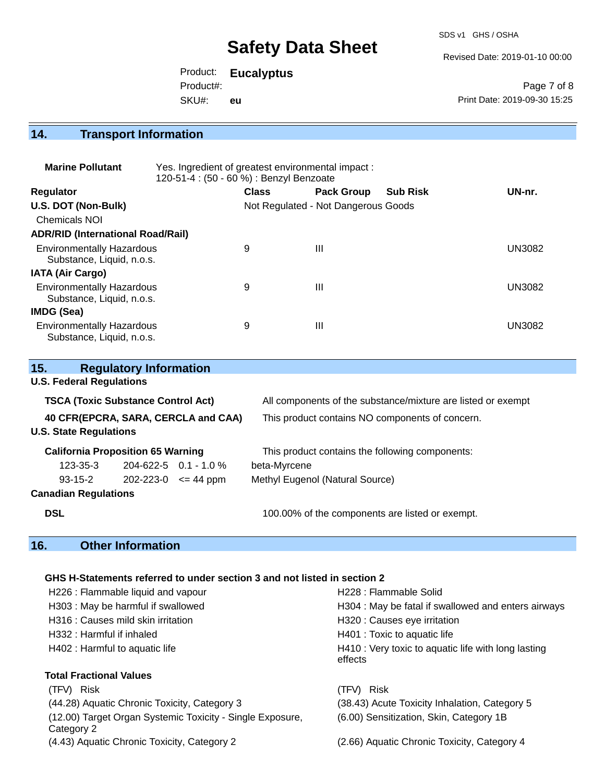SDS v1 GHS / OSHA

Revised Date: 2019-01-10 00:00

Product: **Eucalyptus**  Product#:

SKU#: **eu**

Page 7 of 8 Print Date: 2019-09-30 15:25

### **14. Transport Information**

| <b>Marine Pollutant</b>                                       | Yes. Ingredient of greatest environmental impact:<br>120-51-4 : (50 - 60 %) : Benzyl Benzoate |              |                                     |                 |               |
|---------------------------------------------------------------|-----------------------------------------------------------------------------------------------|--------------|-------------------------------------|-----------------|---------------|
| <b>Regulator</b>                                              |                                                                                               | <b>Class</b> | <b>Pack Group</b>                   | <b>Sub Risk</b> | UN-nr.        |
| U.S. DOT (Non-Bulk)                                           |                                                                                               |              | Not Regulated - Not Dangerous Goods |                 |               |
| Chemicals NOI                                                 |                                                                                               |              |                                     |                 |               |
| <b>ADR/RID (International Road/Rail)</b>                      |                                                                                               |              |                                     |                 |               |
| <b>Environmentally Hazardous</b><br>Substance, Liquid, n.o.s. |                                                                                               | 9            | $\mathbf{III}$                      |                 | <b>UN3082</b> |
| <b>IATA (Air Cargo)</b>                                       |                                                                                               |              |                                     |                 |               |
| <b>Environmentally Hazardous</b><br>Substance, Liquid, n.o.s. |                                                                                               | 9            | $\mathbf{III}$                      |                 | <b>UN3082</b> |
| IMDG (Sea)                                                    |                                                                                               |              |                                     |                 |               |
| <b>Environmentally Hazardous</b><br>Substance, Liquid, n.o.s. |                                                                                               | 9            | $\mathbf{III}$                      |                 | UN3082        |

| 15.                                       | <b>Regulatory Information</b> |                                     |                                                              |  |
|-------------------------------------------|-------------------------------|-------------------------------------|--------------------------------------------------------------|--|
| <b>U.S. Federal Regulations</b>           |                               |                                     |                                                              |  |
| <b>TSCA (Toxic Substance Control Act)</b> |                               |                                     | All components of the substance/mixture are listed or exempt |  |
| 40 CFR(EPCRA, SARA, CERCLA and CAA)       |                               |                                     | This product contains NO components of concern.              |  |
| <b>U.S. State Regulations</b>             |                               |                                     |                                                              |  |
| <b>California Proposition 65 Warning</b>  |                               |                                     | This product contains the following components:              |  |
| $123 - 35 - 3$                            |                               | $204 - 622 - 5$ 0.1 - 1.0 %         | beta-Myrcene                                                 |  |
| $93 - 15 - 2$                             |                               | $202 - 223 - 0 \leq 44 \text{ ppm}$ | Methyl Eugenol (Natural Source)                              |  |
| <b>Canadian Regulations</b>               |                               |                                     |                                                              |  |
| <b>DSL</b>                                |                               |                                     | 100.00% of the components are listed or exempt.              |  |

### **16. Other Information**

#### **GHS H-Statements referred to under section 3 and not listed in section 2**

| H226 : Flammable liquid and vapour                                      | H228 : Flammable Solid                                         |
|-------------------------------------------------------------------------|----------------------------------------------------------------|
| H303: May be harmful if swallowed                                       | H304 : May be fatal if swallowed and enters airways            |
| H316 : Causes mild skin irritation                                      | H320 : Causes eye irritation                                   |
| H332 : Harmful if inhaled                                               | H401 : Toxic to aquatic life                                   |
| H402 : Harmful to aquatic life                                          | H410 : Very toxic to aquatic life with long lasting<br>effects |
| <b>Total Fractional Values</b>                                          |                                                                |
| (TFV) Risk                                                              | (TFV) Risk                                                     |
| (44.28) Aquatic Chronic Toxicity, Category 3                            | (38.43) Acute Toxicity Inhalation, Category 5                  |
| (12.00) Target Organ Systemic Toxicity - Single Exposure,<br>Category 2 | (6.00) Sensitization, Skin, Category 1B                        |
| (4.43) Aquatic Chronic Toxicity, Category 2                             | (2.66) Aquatic Chronic Toxicity, Category 4                    |
|                                                                         |                                                                |